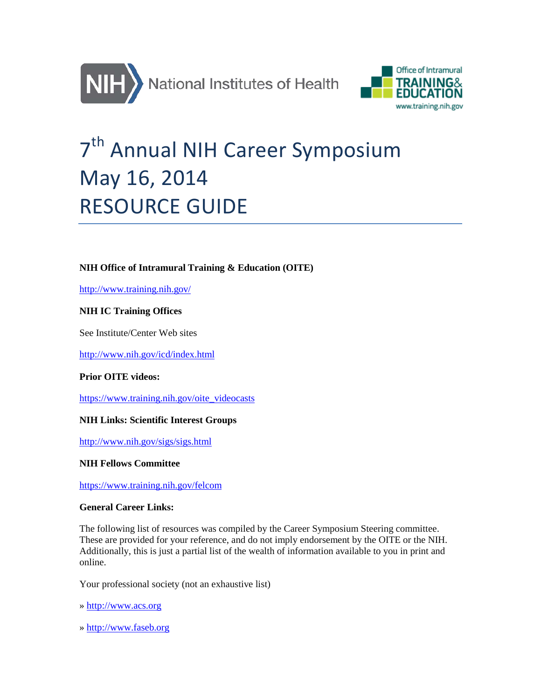



# 7<sup>th</sup> Annual NIH Career Symposium May 16, 2014 RESOURCE GUIDE

# **NIH Office of Intramural Training & Education (OITE)**

<http://www.training.nih.gov/>

# **NIH IC Training Offices**

See Institute/Center Web sites

<http://www.nih.gov/icd/index.html>

## **Prior OITE videos:**

[https://www.training.nih.gov/oite\\_videocasts](https://www.training.nih.gov/oite_videocasts)

## **NIH Links: Scientific Interest Groups**

<http://www.nih.gov/sigs/sigs.html>

## **NIH Fellows Committee**

<https://www.training.nih.gov/felcom>

## **General Career Links:**

The following list of resources was compiled by the Career Symposium Steering committee. These are provided for your reference, and do not imply endorsement by the OITE or the NIH. Additionally, this is just a partial list of the wealth of information available to you in print and online.

Your professional society (not an exhaustive list)

» [http://www.acs.org](http://www.acs.org/)

» [http://www.faseb.org](http://www.acs.org/)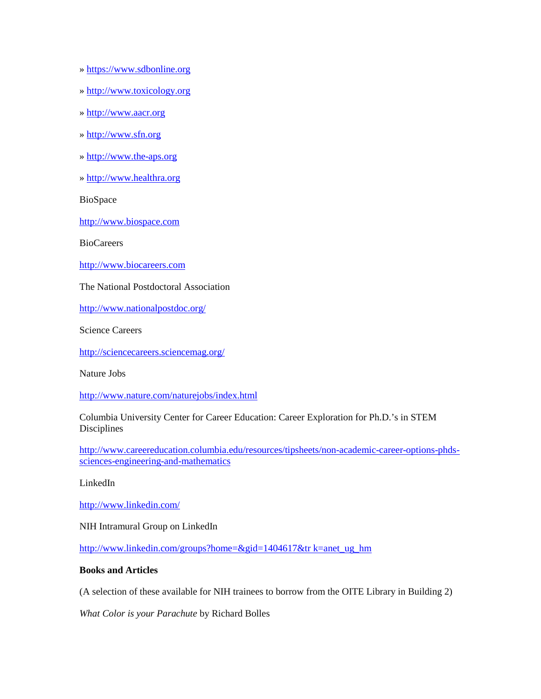- » [https://www.sdbonline.org](https://www.sdbonline.org/)
- » [http://www.toxicology.org](http://www.toxicology.org/)
- » [http://www.aacr.org](http://www.aacr.org/)
- » [http://www.sfn.org](http://www.sfn.org/)
- » [http://www.the-aps.org](http://www.the-aps.org/)
- » [http://www.healthra.org](http://www.healthra.org/)

BioSpace

[http://www.biospace.com](http://www.biospace.com/)

BioCareers

[http://www.biocareers.com](http://www.biocareers.com/)

The National Postdoctoral Association

<http://www.nationalpostdoc.org/>

Science Careers

<http://sciencecareers.sciencemag.org/>

Nature Jobs

<http://www.nature.com/naturejobs/index.html>

Columbia University Center for Career Education: Career Exploration for Ph.D.'s in STEM Disciplines

[http://www.careereducation.columbia.edu/resources/tipsheets/non-academic-career-options-phds](http://www.careereducation.columbia.edu/resources/tipsheets/non-academic-career-options-phds-sciences-engineering-and-mathematics)[sciences-engineering-and-mathematics](http://www.careereducation.columbia.edu/resources/tipsheets/non-academic-career-options-phds-sciences-engineering-and-mathematics)

LinkedIn

<http://www.linkedin.com/>

NIH Intramural Group on LinkedIn

[http://www.linkedin.com/groups?home=&gid=1404617&tr k=anet\\_ug\\_hm](http://www.linkedin.com/groups?home=&gid=1404617&tr%20k=anet_ug_hm)

# **Books and Articles**

(A selection of these available for NIH trainees to borrow from the OITE Library in Building 2)

*What Color is your Parachute* by Richard Bolles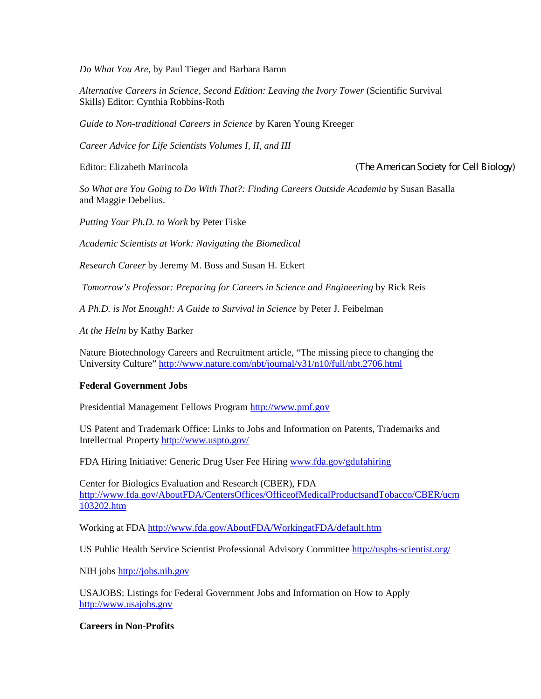*Do What You Are,* by Paul Tieger and Barbara Baron

*Alternative Careers in Science, Second Edition: Leaving the Ivory Tower* (Scientific Survival Skills) Editor: Cynthia Robbins-Roth

*Guide to Non-traditional Careers in Science* by Karen Young Kreeger

*Career Advice for Life Scientists Volumes I, II, and III*

Editor: Elizabeth Marincola (The American Society for Cell Biology)

*So What are You Going to Do With That?: Finding Careers Outside Academia* by Susan Basalla and Maggie Debelius.

*Putting Your Ph.D. to Work* by Peter Fiske

*Academic Scientists at Work: Navigating the Biomedical*

*Research Career* by Jeremy M. Boss and Susan H. Eckert

*Tomorrow's Professor: Preparing for Careers in Science and Engineering* by Rick Reis

*A Ph.D. is Not Enough!: A Guide to Survival in Science* by Peter J. Feibelman

*At the Helm* by Kathy Barker

Nature Biotechnology Careers and Recruitment article, "The missing piece to changing the University Culture"<http://www.nature.com/nbt/journal/v31/n10/full/nbt.2706.html>

## **Federal Government Jobs**

Presidential Management Fellows Program [http://www.pmf.gov](http://www.pmf.gov/)

US Patent and Trademark Office: Links to Jobs and Information on Patents, Trademarks and Intellectual Property<http://www.uspto.gov/>

FDA Hiring Initiative: Generic Drug User Fee Hiring [www.fda.gov/gdufahiring](https://mail.nih.gov/owa/redir.aspx?C=ofzgMWWa9U6kJRWTLcADsjrIazrNQ9EIUrM369IOjOu_K53irilNE3heqrDDzSMjIMS6JBGfTW4.&URL=http%3a%2f%2fwww.fda.gov%2fgdufahiring)

Center for Biologics Evaluation and Research (CBER), FDA [http://www.fda.gov/AboutFDA/CentersOffices/OfficeofMedicalProductsandTobacco/CBER/ucm](https://mail.nih.gov/owa/redir.aspx?C=ofzgMWWa9U6kJRWTLcADsjrIazrNQ9EIUrM369IOjOu_K53irilNE3heqrDDzSMjIMS6JBGfTW4.&URL=http%3a%2f%2fwww.fda.gov%2fAboutFDA%2fCentersOffices%2fOfficeofMedicalProductsandTobacco%2fCBER%2fucm103202.htm) [103202.htm](https://mail.nih.gov/owa/redir.aspx?C=ofzgMWWa9U6kJRWTLcADsjrIazrNQ9EIUrM369IOjOu_K53irilNE3heqrDDzSMjIMS6JBGfTW4.&URL=http%3a%2f%2fwww.fda.gov%2fAboutFDA%2fCentersOffices%2fOfficeofMedicalProductsandTobacco%2fCBER%2fucm103202.htm)

Working at FDA [http://www.fda.gov/AboutFDA/WorkingatFDA/default.htm](https://mail.nih.gov/owa/redir.aspx?C=ofzgMWWa9U6kJRWTLcADsjrIazrNQ9EIUrM369IOjOu_K53irilNE3heqrDDzSMjIMS6JBGfTW4.&URL=http%3a%2f%2fwww.fda.gov%2fAboutFDA%2fWorkingatFDA%2fdefault.htm)

US Public Health Service Scientist Professional Advisory Committee<http://usphs-scientist.org/>

NIH jobs [http://jobs.nih.gov](http://jobs.nih.gov/)

USAJOBS: Listings for Federal Government Jobs and Information on How to Apply [http://www.usajobs.gov](http://www.usajobs.gov/)

**Careers in Non-Profits**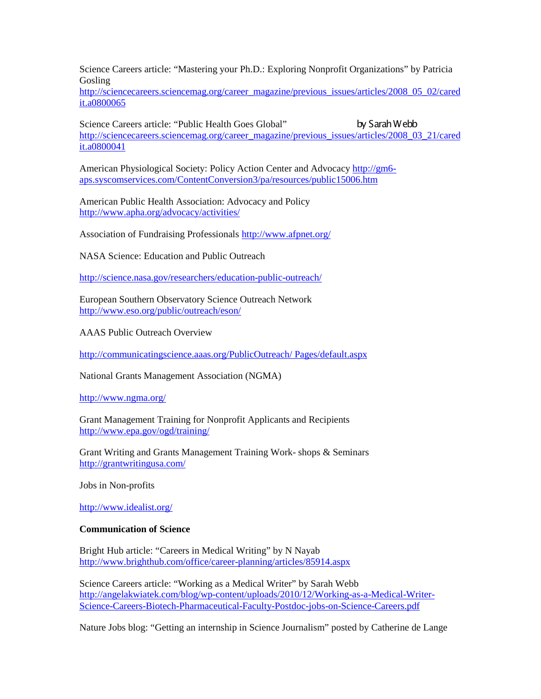Science Careers article: "Mastering your Ph.D.: Exploring Nonprofit Organizations" by Patricia Gosling

[http://sciencecareers.sciencemag.org/career\\_magazine/previous\\_issues/articles/2008\\_05\\_02/cared](http://sciencecareers.sciencemag.org/career_magazine/previous_issues/articles/2008_05_02/caredit.a0800065) [it.a0800065](http://sciencecareers.sciencemag.org/career_magazine/previous_issues/articles/2008_05_02/caredit.a0800065)

Science Careers article: "Public Health Goes Global" by Sarah Webb [http://sciencecareers.sciencemag.org/career\\_magazine/previous\\_issues/articles/2008\\_03\\_21/cared](http://sciencecareers.sciencemag.org/career_magazine/previous_issues/articles/2008_03_21/caredit.a0800041) [it.a0800041](http://sciencecareers.sciencemag.org/career_magazine/previous_issues/articles/2008_03_21/caredit.a0800041)

American Physiological Society: Policy Action Center and Advocacy [http://gm6](http://gm6-aps.syscomservices.com/ContentConversion3/pa/resources/public15006.htm) [aps.syscomservices.com/ContentConversion3/pa/resources/public15006.htm](http://gm6-aps.syscomservices.com/ContentConversion3/pa/resources/public15006.htm)

American Public Health Association: Advocacy and Policy <http://www.apha.org/advocacy/activities/>

Association of Fundraising Professionals <http://www.afpnet.org/>

NASA Science: Education and Public Outreach

<http://science.nasa.gov/researchers/education-public-outreach/>

European Southern Observatory Science Outreach Network <http://www.eso.org/public/outreach/eson/>

AAAS Public Outreach Overview

[http://communicatingscience.aaas.org/PublicOutreach/ Pages/default.aspx](http://communicatingscience.aaas.org/PublicOutreach/%20Pages/default.aspx)

National Grants Management Association (NGMA)

<http://www.ngma.org/>

Grant Management Training for Nonprofit Applicants and Recipients <http://www.epa.gov/ogd/training/>

Grant Writing and Grants Management Training Work- shops & Seminars <http://grantwritingusa.com/>

Jobs in Non-profits

<http://www.idealist.org/>

#### **Communication of Science**

Bright Hub article: "Careers in Medical Writing" by N Nayab <http://www.brighthub.com/office/career-planning/articles/85914.aspx>

Science Careers article: "Working as a Medical Writer" by Sarah Webb [http://angelakwiatek.com/blog/wp-content/uploads/2010/12/Working-as-a-Medical-Writer-](http://angelakwiatek.com/blog/wp-content/uploads/2010/12/Working-as-a-Medical-Writer-Science-Careers-Biotech-Pharmaceutical-Faculty-Postdoc-jobs-on-Science-Careers.pdf)[Science-Careers-Biotech-Pharmaceutical-Faculty-Postdoc-jobs-on-Science-Careers.pdf](http://angelakwiatek.com/blog/wp-content/uploads/2010/12/Working-as-a-Medical-Writer-Science-Careers-Biotech-Pharmaceutical-Faculty-Postdoc-jobs-on-Science-Careers.pdf)

Nature Jobs blog: "Getting an internship in Science Journalism" posted by Catherine de Lange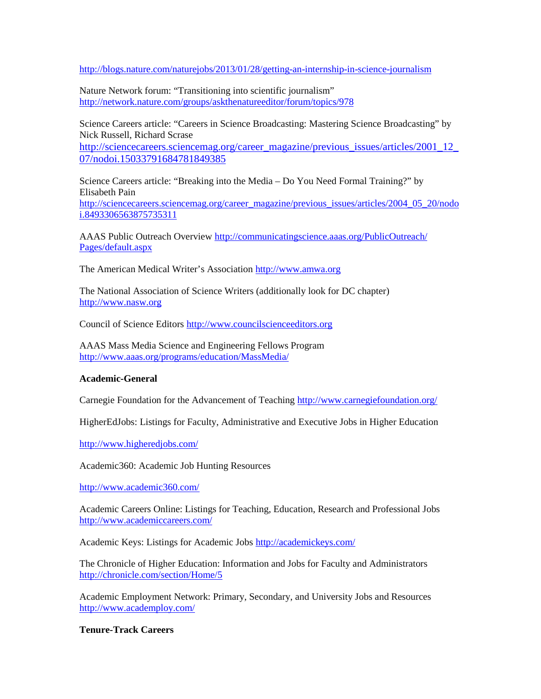<http://blogs.nature.com/naturejobs/2013/01/28/getting-an-internship-in-science-journalism>

Nature Network forum: "Transitioning into scientific journalism" <http://network.nature.com/groups/askthenatureeditor/forum/topics/978>

Science Careers article: "Careers in Science Broadcasting: Mastering Science Broadcasting" by Nick Russell, Richard Scrase

[http://sciencecareers.sciencemag.org/career\\_magazine/previous\\_issues/articles/2001\\_12\\_](http://sciencecareers.sciencemag.org/career_magazine/previous_issues/articles/2001_12_07/nodoi.15033791684781849385) [07/nodoi.15033791684781849385](http://sciencecareers.sciencemag.org/career_magazine/previous_issues/articles/2001_12_07/nodoi.15033791684781849385)

Science Careers article: "Breaking into the Media – Do You Need Formal Training?" by Elisabeth Pain [http://sciencecareers.sciencemag.org/career\\_magazine/previous\\_issues/articles/2004\\_05\\_20/nodo](http://sciencecareers.sciencemag.org/career_magazine/previous_issues/articles/2004_05_20/nodoi.8493306563875735311) [i.8493306563875735311](http://sciencecareers.sciencemag.org/career_magazine/previous_issues/articles/2004_05_20/nodoi.8493306563875735311)

AAAS Public Outreach Overview [http://communicatingscience.aaas.org/PublicOutreach/](http://communicatingscience.aaas.org/PublicOutreach/%20Pages/default.aspx)  [Pages/default.aspx](http://communicatingscience.aaas.org/PublicOutreach/%20Pages/default.aspx)

The American Medical Writer's Association [http://www.amwa.org](http://www.amwa.org/)

The National Association of Science Writers (additionally look for DC chapter) [http://www.nasw.org](http://www.nasw.org/)

Council of Science Editors [http://www.councilscienceeditors.org](http://www.councilscienceeditors.org/)

AAAS Mass Media Science and Engineering Fellows Program <http://www.aaas.org/programs/education/MassMedia/>

## **Academic-General**

Carnegie Foundation for the Advancement of Teaching <http://www.carnegiefoundation.org/>

HigherEdJobs: Listings for Faculty, Administrative and Executive Jobs in Higher Education

<http://www.higheredjobs.com/>

Academic360: Academic Job Hunting Resources

<http://www.academic360.com/>

Academic Careers Online: Listings for Teaching, Education, Research and Professional Jobs <http://www.academiccareers.com/>

Academic Keys: Listings for Academic Jobs <http://academickeys.com/>

The Chronicle of Higher Education: Information and Jobs for Faculty and Administrators <http://chronicle.com/section/Home/5>

Academic Employment Network: Primary, Secondary, and University Jobs and Resources <http://www.academploy.com/>

#### **Tenure-Track Careers**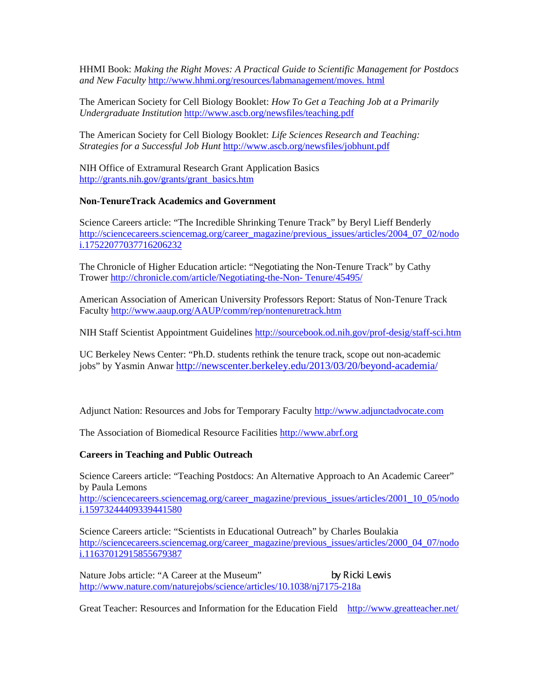HHMI Book: *Making the Right Moves: A Practical Guide to Scientific Management for Postdocs and New Faculty* [http://www.hhmi.org/resources/labmanagement/moves. html](http://www.hhmi.org/resources/labmanagement/moves.%20html)

The American Society for Cell Biology Booklet: *How To Get a Teaching Job at a Primarily Undergraduate Institution* <http://www.ascb.org/newsfiles/teaching.pdf>

The American Society for Cell Biology Booklet: *Life Sciences Research and Teaching: Strategies for a Successful Job Hunt* <http://www.ascb.org/newsfiles/jobhunt.pdf>

NIH Office of Extramural Research Grant Application Basics [http://grants.nih.gov/grants/grant\\_basics.htm](http://grants.nih.gov/grants/grant_basics.htm)

#### **Non-TenureTrack Academics and Government**

Science Careers article: "The Incredible Shrinking Tenure Track" by Beryl Lieff Benderly [http://sciencecareers.sciencemag.org/career\\_magazine/previous\\_issues/articles/2004\\_07\\_02/nodo](http://sciencecareers.sciencemag.org/career_magazine/previous_issues/articles/2004_07_02/nodoi.17522077037716206232) [i.17522077037716206232](http://sciencecareers.sciencemag.org/career_magazine/previous_issues/articles/2004_07_02/nodoi.17522077037716206232)

The Chronicle of Higher Education article: "Negotiating the Non-Tenure Track" by Cathy Trower [http://chronicle.com/article/Negotiating-the-Non-](http://chronicle.com/article/Negotiating-the-Non-%20Tenure/45495/) Tenure/45495/

American Association of American University Professors Report: Status of Non-Tenure Track Facult[y http://www.aaup.org/AAUP/comm/rep/nontenuretrack.htm](http://www.aaup.org/AAUP/comm/rep/nontenuretrack.htm)

NIH Staff Scientist Appointment Guidelines <http://sourcebook.od.nih.gov/prof-desig/staff-sci.htm>

UC Berkeley News Center: "Ph.D. students rethink the tenure track, scope out non-academic jobs" by Yasmin Anwar<http://newscenter.berkeley.edu/2013/03/20/beyond-academia/>

Adjunct Nation: Resources and Jobs for Temporary Faculty [http://www.adjunctadvocate.com](http://www.adjunctadvocate.com/)

The Association of Biomedical Resource Facilities [http://www.abrf.org](http://www.abrf.org/)

#### **Careers in Teaching and Public Outreach**

Science Careers article: "Teaching Postdocs: An Alternative Approach to An Academic Career" by Paula Lemons

[http://sciencecareers.sciencemag.org/career\\_magazine/previous\\_issues/articles/2001\\_10\\_05/nodo](http://sciencecareers.sciencemag.org/career_magazine/previous_issues/articles/2001_10_05/nodoi.15973244409339441580) [i.15973244409339441580](http://sciencecareers.sciencemag.org/career_magazine/previous_issues/articles/2001_10_05/nodoi.15973244409339441580)

Science Careers article: "Scientists in Educational Outreach" by Charles Boulakia [http://sciencecareers.sciencemag.org/career\\_magazine/previous\\_issues/articles/2000\\_04\\_07/nodo](http://sciencecareers.sciencemag.org/career_magazine/previous_issues/articles/2000_04_07/nodoi.11637012915855679387) [i.11637012915855679387](http://sciencecareers.sciencemag.org/career_magazine/previous_issues/articles/2000_04_07/nodoi.11637012915855679387)

Nature Jobs article: "A Career at the Museum" by Ricki Lewis <http://www.nature.com/naturejobs/science/articles/10.1038/nj7175-218a>

Great Teacher: Resources and Information for the Education Field <http://www.greatteacher.net/>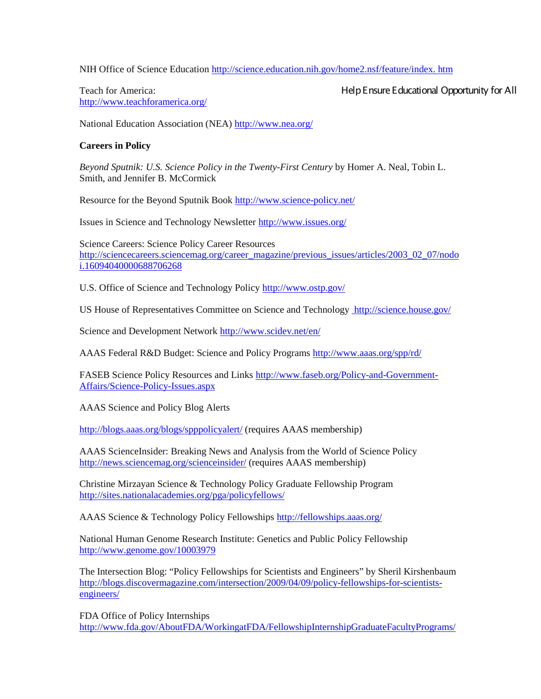NIH Office of Science Education [http://science.education.nih.gov/home2.nsf/feature/index. htm](http://science.education.nih.gov/home2.nsf/feature/index.%20htm)

<http://www.teachforamerica.org/>

Teach for America: Help Ensure Educational Opportunity for All

National Education Association (NEA) <http://www.nea.org/>

# **Careers in Policy**

*Beyond Sputnik: U.S. Science Policy in the Twenty-First Century* by Homer A. Neal, Tobin L. Smith, and Jennifer B. McCormick

Resource for the Beyond Sputnik Book <http://www.science-policy.net/>

Issues in Science and Technology Newsletter <http://www.issues.org/>

Science Careers: Science Policy Career Resources [http://sciencecareers.sciencemag.org/career\\_magazine/previous\\_issues/articles/2003\\_02\\_07/nodo](http://sciencecareers.sciencemag.org/career_magazine/previous_issues/articles/2003_02_07/nodoi.16094040000688706268) [i.16094040000688706268](http://sciencecareers.sciencemag.org/career_magazine/previous_issues/articles/2003_02_07/nodoi.16094040000688706268)

U.S. Office of Science and Technology Policy <http://www.ostp.gov/>

US House of Representatives Committee on Science and Technology <http://science.house.gov/>

Science and Development Network <http://www.scidev.net/en/>

AAAS Federal R&D Budget: Science and Policy Programs <http://www.aaas.org/spp/rd/>

FASEB Science Policy Resources and Links [http://www.faseb.org/Policy-and-Government-](http://www.faseb.org/Policy-and-Government-Affairs/Science-Policy-Issues.aspx)[Affairs/Science-Policy-Issues.aspx](http://www.faseb.org/Policy-and-Government-Affairs/Science-Policy-Issues.aspx)

AAAS Science and Policy Blog Alerts

<http://blogs.aaas.org/blogs/spppolicyalert/> (requires AAAS membership)

AAAS ScienceInsider: Breaking News and Analysis from the World of Science Policy <http://news.sciencemag.org/scienceinsider/> (requires AAAS membership)

Christine Mirzayan Science & Technology Policy Graduate Fellowship Program <http://sites.nationalacademies.org/pga/policyfellows/>

AAAS Science & Technology Policy Fellowships <http://fellowships.aaas.org/>

National Human Genome Research Institute: Genetics and Public Policy Fellowship <http://www.genome.gov/10003979>

The Intersection Blog: "Policy Fellowships for Scientists and Engineers" by Sheril Kirshenbaum [http://blogs.discovermagazine.com/intersection/2009/04/09/policy-fellowships-for-scientists](http://blogs.discovermagazine.com/intersection/2009/04/09/policy-fellowships-for-scientists-engineers/)[engineers/](http://blogs.discovermagazine.com/intersection/2009/04/09/policy-fellowships-for-scientists-engineers/)

FDA Office of Policy Internships [http://www.fda.gov/AboutFDA/WorkingatFDA/FellowshipInternshipGraduateFacultyPrograms/](https://mail.nih.gov/owa/redir.aspx?C=ofzgMWWa9U6kJRWTLcADsjrIazrNQ9EIUrM369IOjOu_K53irilNE3heqrDDzSMjIMS6JBGfTW4.&URL=http%3a%2f%2fwww.fda.gov%2fAboutFDA%2fWorkingatFDA%2fFellowshipInternshipGraduateFacultyPrograms%2fOfficeofPolicyandPlanningInternshipProgram%2fdefault.htm)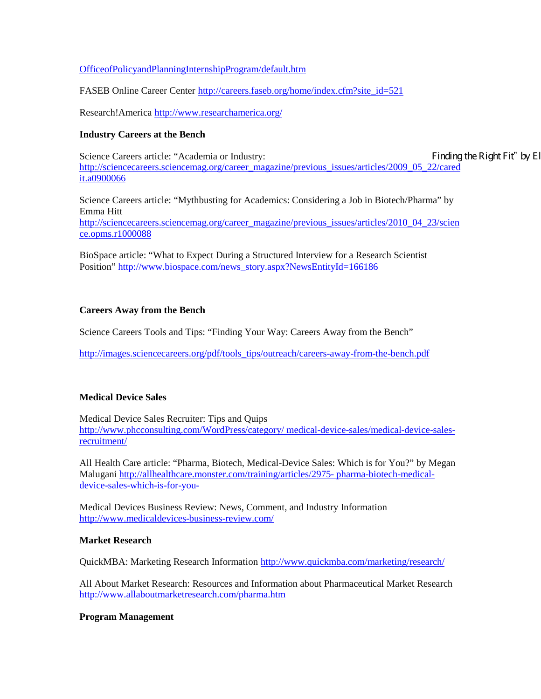### OfficeofPolicyandPlanningInternshipProgram/default.htm

FASEB Online Career Center [http://careers.faseb.org/home/index.cfm?site\\_id=521](http://careers.faseb.org/home/index.cfm?site_id=521)

Research!America <http://www.researchamerica.org/>

#### **Industry Careers at the Bench**

Science Careers article: "Academia or Industry: Finding the Right Fit" by Election 2. [http://sciencecareers.sciencemag.org/career\\_magazine/previous\\_issues/articles/2009\\_05\\_22/cared](http://sciencecareers.sciencemag.org/career_magazine/previous_issues/articles/2009_05_22/caredit.a0900066) [it.a0900066](http://sciencecareers.sciencemag.org/career_magazine/previous_issues/articles/2009_05_22/caredit.a0900066)

Science Careers article: "Mythbusting for Academics: Considering a Job in Biotech/Pharma" by Emma Hitt [http://sciencecareers.sciencemag.org/career\\_magazine/previous\\_issues/articles/2010\\_04\\_23/scien](http://sciencecareers.sciencemag.org/career_magazine/previous_issues/articles/2010_04_23/science.opms.r1000088) [ce.opms.r1000088](http://sciencecareers.sciencemag.org/career_magazine/previous_issues/articles/2010_04_23/science.opms.r1000088)

BioSpace article: "What to Expect During a Structured Interview for a Research Scientist Position[" http://www.biospace.com/news\\_story.aspx?NewsEntityId=166186](http://www.biospace.com/news_story.aspx?NewsEntityId=166186)

## **Careers Away from the Bench**

Science Careers Tools and Tips: "Finding Your Way: Careers Away from the Bench"

[http://images.sciencecareers.org/pdf/tools\\_tips/outreach/careers-away-from-the-bench.pdf](http://images.sciencecareers.org/pdf/tools_tips/outreach/careers-away-from-the-bench.pdf)

## **Medical Device Sales**

Medical Device Sales Recruiter: Tips and Quips [http://www.phcconsulting.com/WordPress/category/ medical-device-sales/medical-device-sales](http://www.phcconsulting.com/WordPress/category/%20medical-device-sales/medical-device-sales-recruitment/)[recruitment/](http://www.phcconsulting.com/WordPress/category/%20medical-device-sales/medical-device-sales-recruitment/)

All Health Care article: "Pharma, Biotech, Medical-Device Sales: Which is for You?" by Megan Malugani [http://allhealthcare.monster.com/training/articles/2975-](http://allhealthcare.monster.com/training/articles/2975-%20pharma-biotech-medical-device-sales-which-is-for-you-) pharma-biotech-medical[device-sales-which-is-for-you-](http://allhealthcare.monster.com/training/articles/2975-%20pharma-biotech-medical-device-sales-which-is-for-you-)

Medical Devices Business Review: News, Comment, and Industry Information <http://www.medicaldevices-business-review.com/>

#### **Market Research**

QuickMBA: Marketing Research Information <http://www.quickmba.com/marketing/research/>

All About Market Research: Resources and Information about Pharmaceutical Market Research <http://www.allaboutmarketresearch.com/pharma.htm>

## **Program Management**